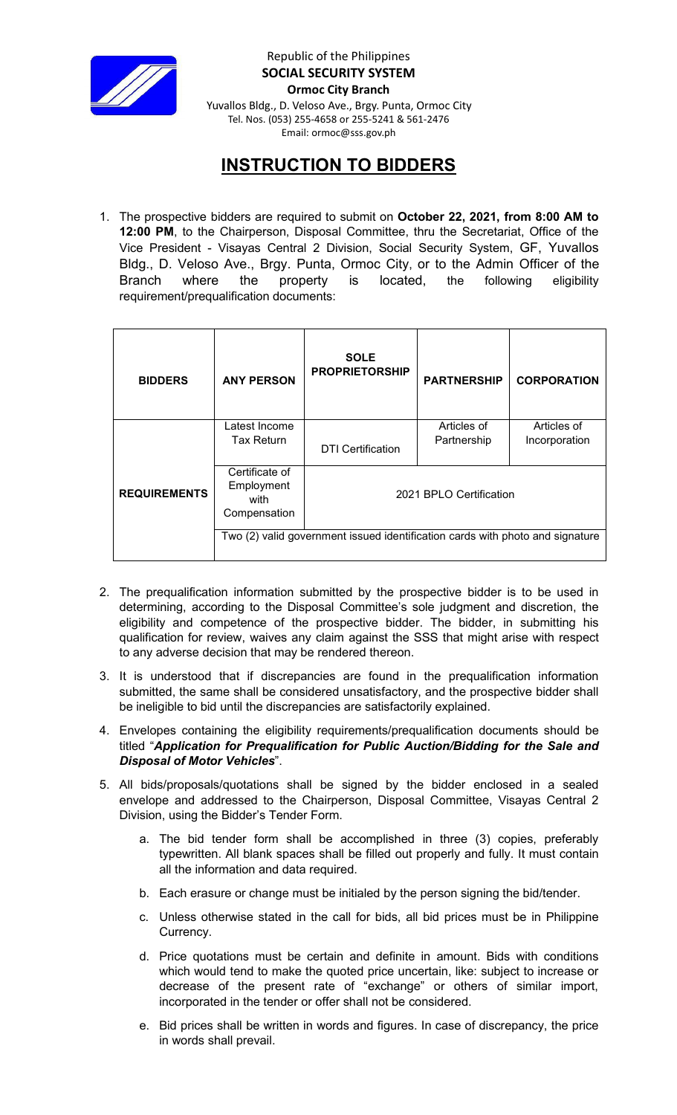

Republic of the Philippines **SOCIAL SECURITY SYSTEM Ormoc City Branch** Yuvallos Bldg., D. Veloso Ave., Brgy. Punta, Ormoc City Tel. Nos. (053) 255-4658 or 255-5241 & 561-2476 Email: ormoc@sss.gov.ph

## **INSTRUCTION TO BIDDERS**

1. The prospective bidders are required to submit on **October 22, 2021, from 8:00 AM to 12:00 PM**, to the Chairperson, Disposal Committee, thru the Secretariat, Office of the Vice President - Visayas Central 2 Division, Social Security System, GF, Yuvallos Bldg., D. Veloso Ave., Brgy. Punta, Ormoc City, or to the Admin Officer of the Branch where the property is located, the following eligibility requirement/prequalification documents:

| <b>BIDDERS</b>      | <b>ANY PERSON</b>                                                             | <b>SOLE</b><br><b>PROPRIETORSHIP</b> | <b>PARTNERSHIP</b>         | <b>CORPORATION</b>           |
|---------------------|-------------------------------------------------------------------------------|--------------------------------------|----------------------------|------------------------------|
| <b>REQUIREMENTS</b> | Latest Income<br>Tax Return                                                   | <b>DTI Certification</b>             | Articles of<br>Partnership | Articles of<br>Incorporation |
|                     | Certificate of<br>Employment<br>with<br>Compensation                          | 2021 BPLO Certification              |                            |                              |
|                     | Two (2) valid government issued identification cards with photo and signature |                                      |                            |                              |

- 2. The prequalification information submitted by the prospective bidder is to be used in determining, according to the Disposal Committee's sole judgment and discretion, the eligibility and competence of the prospective bidder. The bidder, in submitting his qualification for review, waives any claim against the SSS that might arise with respect to any adverse decision that may be rendered thereon.
- 3. It is understood that if discrepancies are found in the prequalification information submitted, the same shall be considered unsatisfactory, and the prospective bidder shall be ineligible to bid until the discrepancies are satisfactorily explained.
- 4. Envelopes containing the eligibility requirements/prequalification documents should be titled "*Application for Prequalification for Public Auction/Bidding for the Sale and Disposal of Motor Vehicles*".
- 5. All bids/proposals/quotations shall be signed by the bidder enclosed in a sealed envelope and addressed to the Chairperson, Disposal Committee, Visayas Central 2 Division, using the Bidder's Tender Form.
	- a. The bid tender form shall be accomplished in three (3) copies, preferably typewritten. All blank spaces shall be filled out properly and fully. It must contain all the information and data required.
	- b. Each erasure or change must be initialed by the person signing the bid/tender.
	- c. Unless otherwise stated in the call for bids, all bid prices must be in Philippine Currency.
	- d. Price quotations must be certain and definite in amount. Bids with conditions which would tend to make the quoted price uncertain, like: subject to increase or decrease of the present rate of "exchange" or others of similar import, incorporated in the tender or offer shall not be considered.
	- e. Bid prices shall be written in words and figures. In case of discrepancy, the price in words shall prevail.